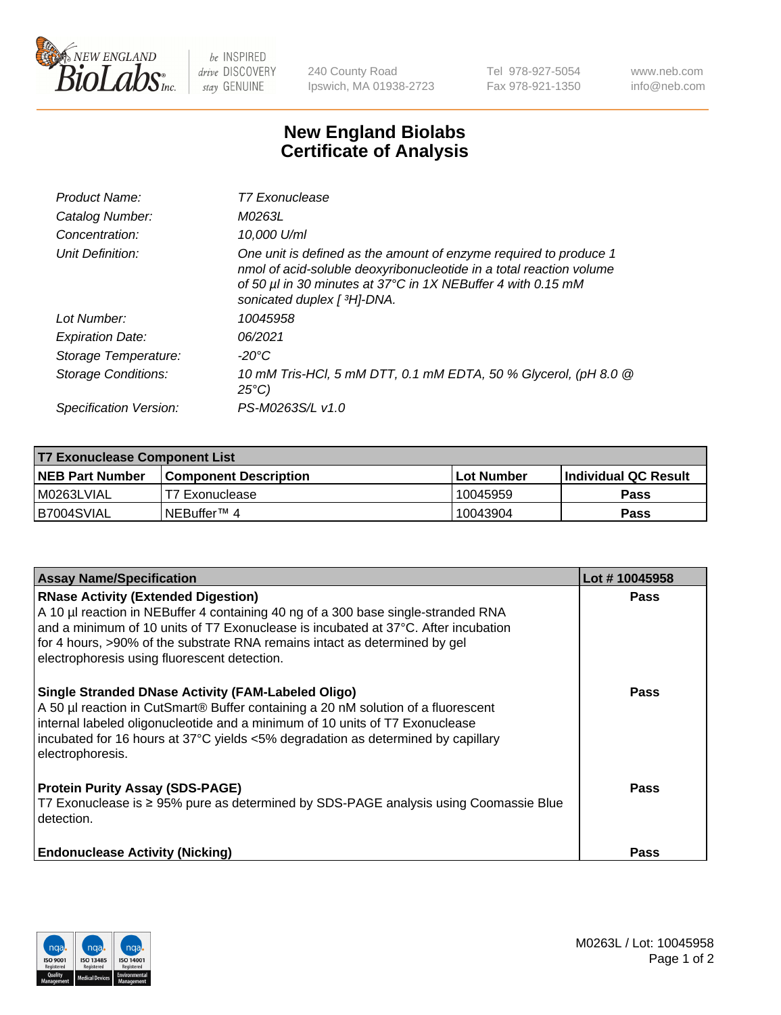

 $be$  INSPIRED drive DISCOVERY stay GENUINE

240 County Road Ipswich, MA 01938-2723 Tel 978-927-5054 Fax 978-921-1350 www.neb.com info@neb.com

## **New England Biolabs Certificate of Analysis**

| Product Name:              | T7 Exonuclease                                                                                                                                                                                                                          |
|----------------------------|-----------------------------------------------------------------------------------------------------------------------------------------------------------------------------------------------------------------------------------------|
| Catalog Number:            | M0263L                                                                                                                                                                                                                                  |
| Concentration:             | 10,000 U/ml                                                                                                                                                                                                                             |
| Unit Definition:           | One unit is defined as the amount of enzyme required to produce 1<br>nmol of acid-soluble deoxyribonucleotide in a total reaction volume<br>of 50 µl in 30 minutes at 37°C in 1X NEBuffer 4 with 0.15 mM<br>sonicated duplex [ 3H]-DNA. |
| Lot Number:                | 10045958                                                                                                                                                                                                                                |
| <b>Expiration Date:</b>    | 06/2021                                                                                                                                                                                                                                 |
| Storage Temperature:       | $-20^{\circ}$ C                                                                                                                                                                                                                         |
| <b>Storage Conditions:</b> | 10 mM Tris-HCl, 5 mM DTT, 0.1 mM EDTA, 50 % Glycerol, (pH 8.0 @<br>$25^{\circ}C$                                                                                                                                                        |
| Specification Version:     | PS-M0263S/L v1.0                                                                                                                                                                                                                        |

| T7 Exonuclease Component List |                         |            |                       |  |  |
|-------------------------------|-------------------------|------------|-----------------------|--|--|
| <b>NEB Part Number</b>        | l Component Description | Lot Number | ∣Individual QC Result |  |  |
| I M0263LVIAL                  | T7 Exonuclease          | 10045959   | <b>Pass</b>           |  |  |
| B7004SVIAL                    | INEBuffer™ 4            | 10043904   | Pass                  |  |  |

| <b>Assay Name/Specification</b>                                                                                                                                                                                                                                                                                                                     | Lot #10045958 |
|-----------------------------------------------------------------------------------------------------------------------------------------------------------------------------------------------------------------------------------------------------------------------------------------------------------------------------------------------------|---------------|
| <b>RNase Activity (Extended Digestion)</b><br>A 10 µl reaction in NEBuffer 4 containing 40 ng of a 300 base single-stranded RNA<br>and a minimum of 10 units of T7 Exonuclease is incubated at 37°C. After incubation<br>for 4 hours, >90% of the substrate RNA remains intact as determined by gel<br>electrophoresis using fluorescent detection. | <b>Pass</b>   |
| <b>Single Stranded DNase Activity (FAM-Labeled Oligo)</b><br>A 50 µl reaction in CutSmart® Buffer containing a 20 nM solution of a fluorescent<br>internal labeled oligonucleotide and a minimum of 10 units of T7 Exonuclease<br>incubated for 16 hours at 37°C yields <5% degradation as determined by capillary<br>electrophoresis.              | Pass          |
| <b>Protein Purity Assay (SDS-PAGE)</b><br>T7 Exonuclease is ≥ 95% pure as determined by SDS-PAGE analysis using Coomassie Blue<br>detection.                                                                                                                                                                                                        | <b>Pass</b>   |
| <b>Endonuclease Activity (Nicking)</b>                                                                                                                                                                                                                                                                                                              | Pass          |